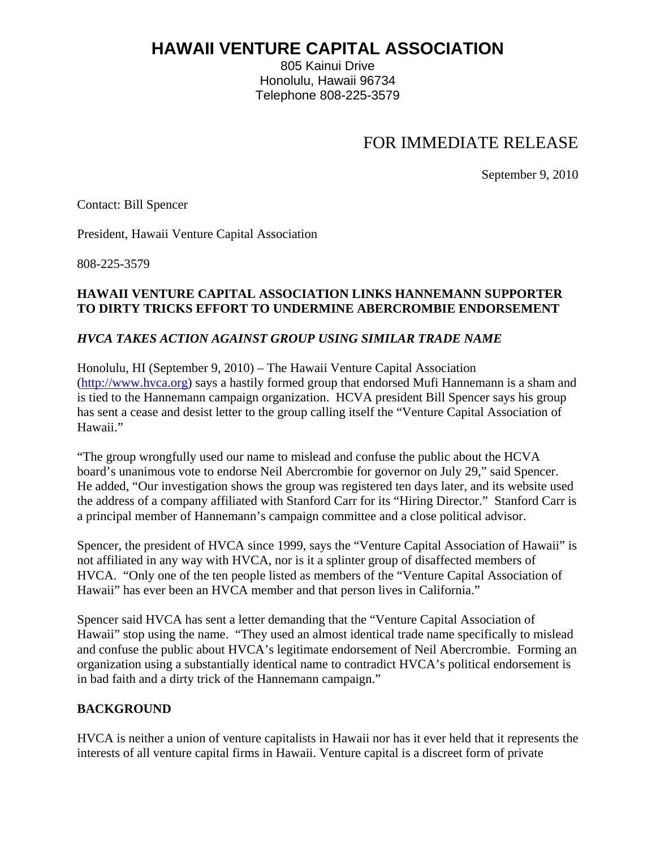# **HAWAII VENTURE CAPITAL ASSOCIATION**

805 Kainui Drive Honolulu, Hawaii 96734 Telephone 808-225-3579

## FOR IMMEDIATE RELEASE

September 9, 2010

Contact: Bill Spencer

President, Hawaii Venture Capital Association

808-225-3579

#### **HAWAII VENTURE CAPITAL ASSOCIATION LINKS HANNEMANN SUPPORTER TO DIRTY TRICKS EFFORT TO UNDERMINE ABERCROMBIE ENDORSEMENT**

#### *HVCA TAKES ACTION AGAINST GROUP USING SIMILAR TRADE NAME*

Honolulu, HI (September 9, 2010) – The Hawaii Venture Capital Association (http://www.hvca.org) says a hastily formed group that endorsed Mufi Hannemann is a sham and is tied to the Hannemann campaign organization. HCVA president Bill Spencer says his group has sent a cease and desist letter to the group calling itself the "Venture Capital Association of Hawaii."

"The group wrongfully used our name to mislead and confuse the public about the HCVA board's unanimous vote to endorse Neil Abercrombie for governor on July 29," said Spencer. He added, "Our investigation shows the group was registered ten days later, and its website used the address of a company affiliated with Stanford Carr for its "Hiring Director." Stanford Carr is a principal member of Hannemann's campaign committee and a close political advisor.

Spencer, the president of HVCA since 1999, says the "Venture Capital Association of Hawaii" is not affiliated in any way with HVCA, nor is it a splinter group of disaffected members of HVCA. "Only one of the ten people listed as members of the "Venture Capital Association of Hawaii" has ever been an HVCA member and that person lives in California."

Spencer said HVCA has sent a letter demanding that the "Venture Capital Association of Hawaii" stop using the name. "They used an almost identical trade name specifically to mislead and confuse the public about HVCA's legitimate endorsement of Neil Abercrombie. Forming an organization using a substantially identical name to contradict HVCA's political endorsement is in bad faith and a dirty trick of the Hannemann campaign."

### **BACKGROUND**

HVCA is neither a union of venture capitalists in Hawaii nor has it ever held that it represents the interests of all venture capital firms in Hawaii. Venture capital is a discreet form of private